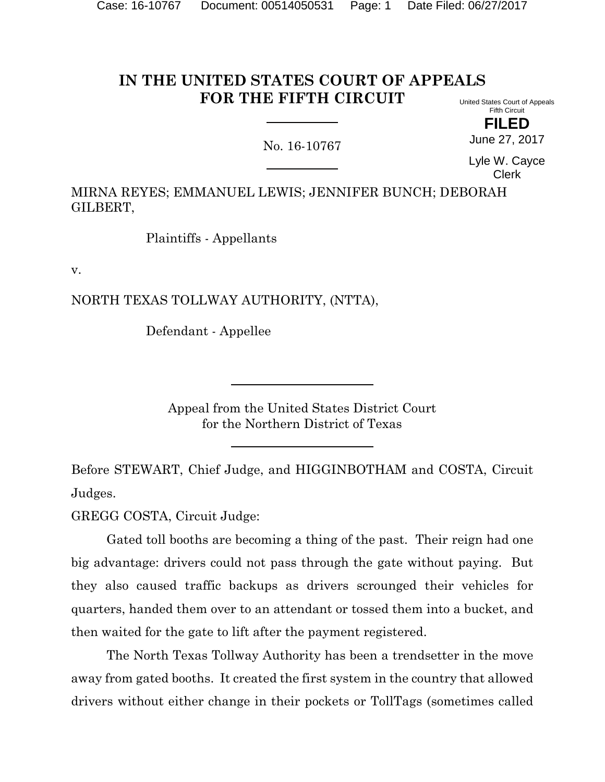#### **IN THE UNITED STATES COURT OF APPEALS FOR THE FIFTH CIRCUIT** United States Court of Appeals

# No. 16-10767

Fifth Circuit **FILED**

June 27, 2017

Lyle W. Cayce Clerk

MIRNA REYES; EMMANUEL LEWIS; JENNIFER BUNCH; DEBORAH GILBERT,

Plaintiffs - Appellants

v.

NORTH TEXAS TOLLWAY AUTHORITY, (NTTA),

Defendant - Appellee

Appeal from the United States District Court for the Northern District of Texas

Before STEWART, Chief Judge, and HIGGINBOTHAM and COSTA, Circuit Judges.

GREGG COSTA, Circuit Judge:

Gated toll booths are becoming a thing of the past. Their reign had one big advantage: drivers could not pass through the gate without paying. But they also caused traffic backups as drivers scrounged their vehicles for quarters, handed them over to an attendant or tossed them into a bucket, and then waited for the gate to lift after the payment registered.

The North Texas Tollway Authority has been a trendsetter in the move away from gated booths. It created the first system in the country that allowed drivers without either change in their pockets or TollTags (sometimes called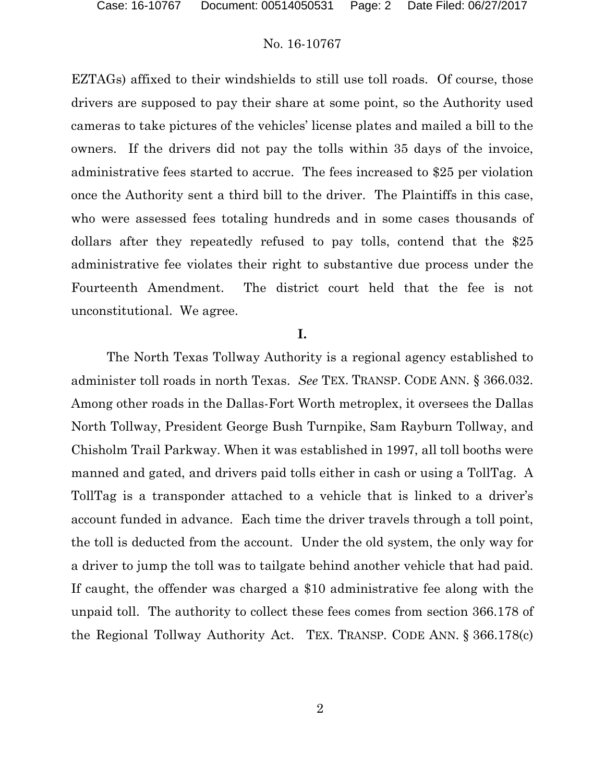EZTAGs) affixed to their windshields to still use toll roads. Of course, those drivers are supposed to pay their share at some point, so the Authority used cameras to take pictures of the vehicles' license plates and mailed a bill to the owners. If the drivers did not pay the tolls within 35 days of the invoice, administrative fees started to accrue. The fees increased to \$25 per violation once the Authority sent a third bill to the driver. The Plaintiffs in this case, who were assessed fees totaling hundreds and in some cases thousands of dollars after they repeatedly refused to pay tolls, contend that the \$25 administrative fee violates their right to substantive due process under the Fourteenth Amendment. The district court held that the fee is not unconstitutional. We agree.

# **I.**

The North Texas Tollway Authority is a regional agency established to administer toll roads in north Texas. *See* TEX. TRANSP. CODE ANN. § 366.032. Among other roads in the Dallas-Fort Worth metroplex, it oversees the Dallas North Tollway, President George Bush Turnpike, Sam Rayburn Tollway, and Chisholm Trail Parkway. When it was established in 1997, all toll booths were manned and gated, and drivers paid tolls either in cash or using a TollTag. A TollTag is a transponder attached to a vehicle that is linked to a driver's account funded in advance. Each time the driver travels through a toll point, the toll is deducted from the account. Under the old system, the only way for a driver to jump the toll was to tailgate behind another vehicle that had paid. If caught, the offender was charged a \$10 administrative fee along with the unpaid toll. The authority to collect these fees comes from section 366.178 of the Regional Tollway Authority Act. TEX. TRANSP. CODE ANN. § 366.178(c)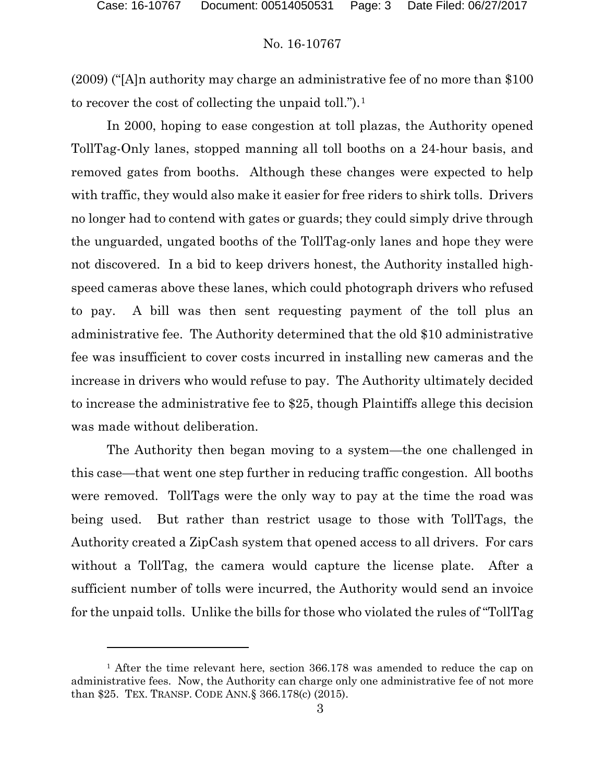(2009) ("[A]n authority may charge an administrative fee of no more than \$100 to recover the cost of collecting the unpaid toll.").<sup>1</sup>

In 2000, hoping to ease congestion at toll plazas, the Authority opened TollTag-Only lanes, stopped manning all toll booths on a 24-hour basis, and removed gates from booths. Although these changes were expected to help with traffic, they would also make it easier for free riders to shirk tolls. Drivers no longer had to contend with gates or guards; they could simply drive through the unguarded, ungated booths of the TollTag-only lanes and hope they were not discovered. In a bid to keep drivers honest, the Authority installed highspeed cameras above these lanes, which could photograph drivers who refused to pay. A bill was then sent requesting payment of the toll plus an administrative fee. The Authority determined that the old \$10 administrative fee was insufficient to cover costs incurred in installing new cameras and the increase in drivers who would refuse to pay. The Authority ultimately decided to increase the administrative fee to \$25, though Plaintiffs allege this decision was made without deliberation.

The Authority then began moving to a system—the one challenged in this case—that went one step further in reducing traffic congestion. All booths were removed. TollTags were the only way to pay at the time the road was being used. But rather than restrict usage to those with TollTags, the Authority created a ZipCash system that opened access to all drivers. For cars without a TollTag, the camera would capture the license plate. After a sufficient number of tolls were incurred, the Authority would send an invoice for the unpaid tolls. Unlike the bills for those who violated the rules of "TollTag

l

<sup>&</sup>lt;sup>1</sup> After the time relevant here, section 366.178 was amended to reduce the cap on administrative fees. Now, the Authority can charge only one administrative fee of not more than \$25. TEX. TRANSP. CODE ANN.§ 366.178(c) (2015).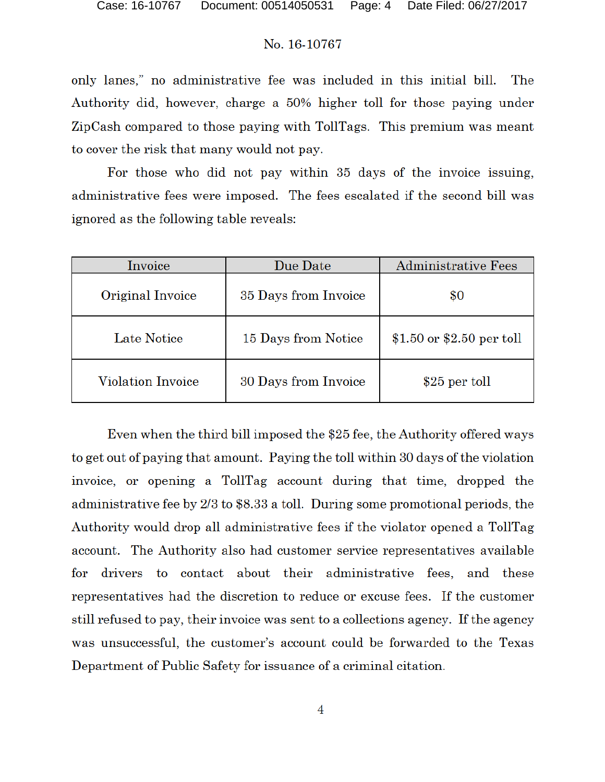only lanes," no administrative fee was included in this initial bill. The Authority did, however, charge a 50% higher toll for those paying under ZipCash compared to those paying with TollTags. This premium was meant to cover the risk that many would not pay.

For those who did not pay within 35 days of the invoice issuing, administrative fees were imposed. The fees escalated if the second bill was ignored as the following table reveals:

| Invoice                  | Due Date             | Administrative Fees       |
|--------------------------|----------------------|---------------------------|
| Original Invoice         | 35 Days from Invoice | \$0                       |
| Late Notice              | 15 Days from Notice  | \$1.50 or \$2.50 per toll |
| <b>Violation Invoice</b> | 30 Days from Invoice | \$25 per toll             |

Even when the third bill imposed the \$25 fee, the Authority offered ways to get out of paying that amount. Paying the toll within 30 days of the violation invoice, or opening a TollTag account during that time, dropped the administrative fee by 2/3 to \$8.33 a toll. During some promotional periods, the Authority would drop all administrative fees if the violator opened a TollTag account. The Authority also had customer service representatives available drivers to contact about their administrative fees, and these for representatives had the discretion to reduce or excuse fees. If the customer still refused to pay, their invoice was sent to a collections agency. If the agency was unsuccessful, the customer's account could be forwarded to the Texas Department of Public Safety for issuance of a criminal citation.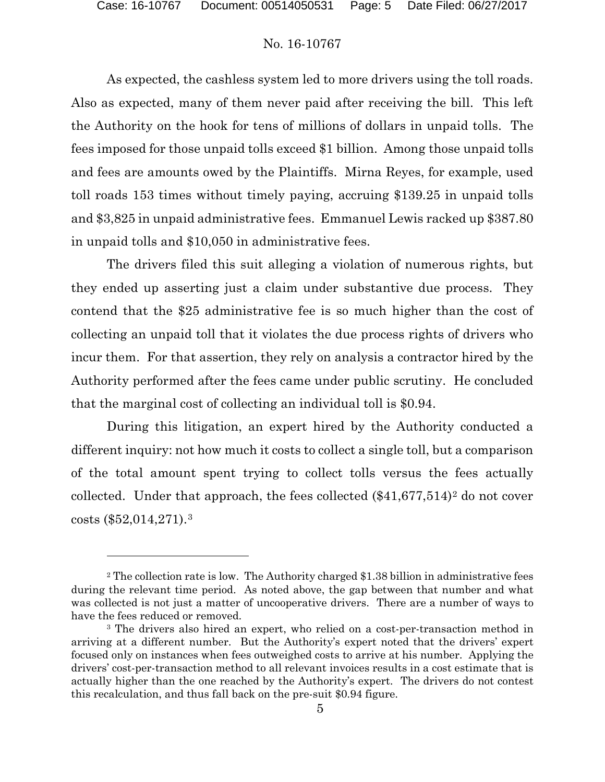# No. 16-10767

As expected, the cashless system led to more drivers using the toll roads. Also as expected, many of them never paid after receiving the bill. This left the Authority on the hook for tens of millions of dollars in unpaid tolls. The fees imposed for those unpaid tolls exceed \$1 billion. Among those unpaid tolls and fees are amounts owed by the Plaintiffs. Mirna Reyes, for example, used toll roads 153 times without timely paying, accruing \$139.25 in unpaid tolls and \$3,825 in unpaid administrative fees. Emmanuel Lewis racked up \$387.80 in unpaid tolls and \$10,050 in administrative fees.

The drivers filed this suit alleging a violation of numerous rights, but they ended up asserting just a claim under substantive due process. They contend that the \$25 administrative fee is so much higher than the cost of collecting an unpaid toll that it violates the due process rights of drivers who incur them. For that assertion, they rely on analysis a contractor hired by the Authority performed after the fees came under public scrutiny. He concluded that the marginal cost of collecting an individual toll is \$0.94.

During this litigation, an expert hired by the Authority conducted a different inquiry: not how much it costs to collect a single toll, but a comparison of the total amount spent trying to collect tolls versus the fees actually collected. Under that approach, the fees collected  $(\$41,677,514)^2$  do not cover costs (\$52,014,271).3

<sup>&</sup>lt;sup>2</sup> The collection rate is low. The Authority charged \$1.38 billion in administrative fees during the relevant time period. As noted above, the gap between that number and what was collected is not just a matter of uncooperative drivers. There are a number of ways to have the fees reduced or removed.

<sup>3</sup> The drivers also hired an expert, who relied on a cost-per-transaction method in arriving at a different number. But the Authority's expert noted that the drivers' expert focused only on instances when fees outweighed costs to arrive at his number. Applying the drivers' cost-per-transaction method to all relevant invoices results in a cost estimate that is actually higher than the one reached by the Authority's expert. The drivers do not contest this recalculation, and thus fall back on the pre-suit \$0.94 figure.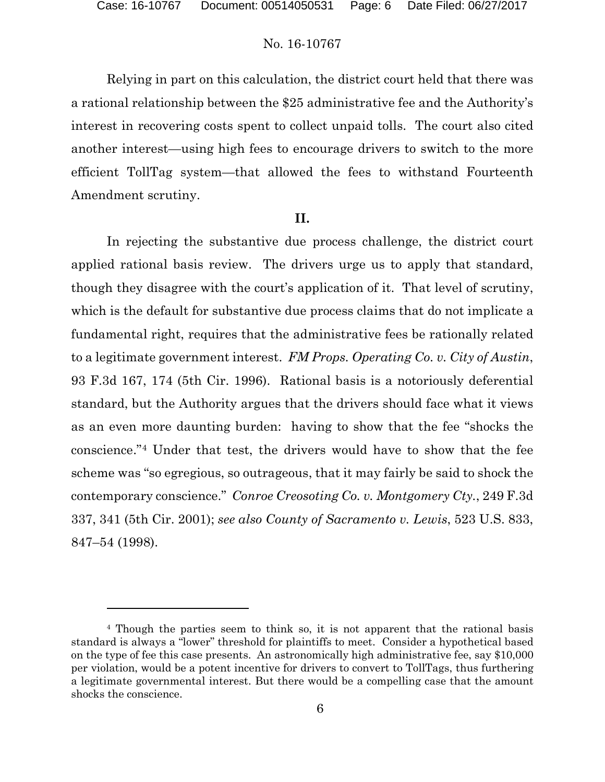# No. 16-10767

Relying in part on this calculation, the district court held that there was a rational relationship between the \$25 administrative fee and the Authority's interest in recovering costs spent to collect unpaid tolls. The court also cited another interest—using high fees to encourage drivers to switch to the more efficient TollTag system—that allowed the fees to withstand Fourteenth Amendment scrutiny.

# **II.**

In rejecting the substantive due process challenge, the district court applied rational basis review. The drivers urge us to apply that standard, though they disagree with the court's application of it. That level of scrutiny, which is the default for substantive due process claims that do not implicate a fundamental right, requires that the administrative fees be rationally related to a legitimate government interest. *FM Props. Operating Co. v. City of Austin*, 93 F.3d 167, 174 (5th Cir. 1996). Rational basis is a notoriously deferential standard, but the Authority argues that the drivers should face what it views as an even more daunting burden: having to show that the fee "shocks the conscience."4 Under that test, the drivers would have to show that the fee scheme was "so egregious, so outrageous, that it may fairly be said to shock the contemporary conscience." *Conroe Creosoting Co. v. Montgomery Cty.*, 249 F.3d 337, 341 (5th Cir. 2001); *see also County of Sacramento v. Lewis*, 523 U.S. 833, 847–54 (1998).

<sup>4</sup> Though the parties seem to think so, it is not apparent that the rational basis standard is always a "lower" threshold for plaintiffs to meet. Consider a hypothetical based on the type of fee this case presents. An astronomically high administrative fee, say \$10,000 per violation, would be a potent incentive for drivers to convert to TollTags, thus furthering a legitimate governmental interest. But there would be a compelling case that the amount shocks the conscience.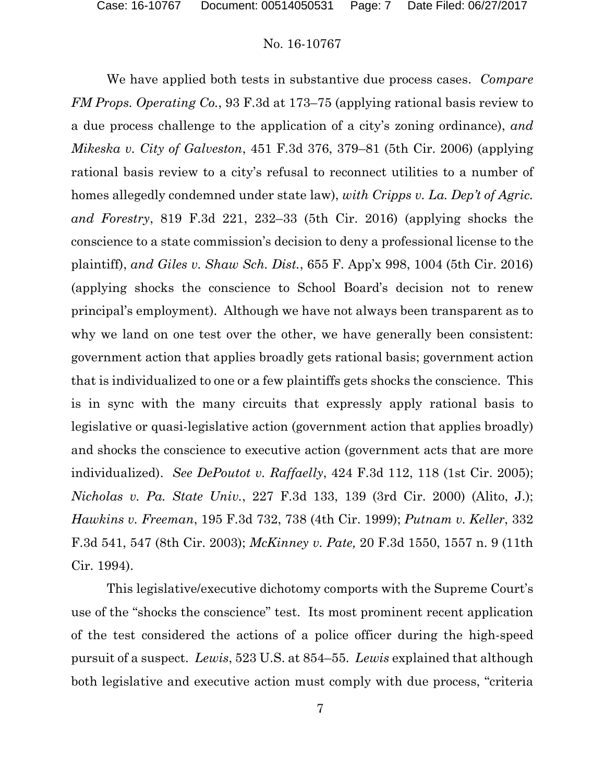We have applied both tests in substantive due process cases. *Compare FM Props. Operating Co.*, 93 F.3d at 173–75 (applying rational basis review to a due process challenge to the application of a city's zoning ordinance), *and Mikeska v. City of Galveston*, 451 F.3d 376, 379–81 (5th Cir. 2006) (applying rational basis review to a city's refusal to reconnect utilities to a number of homes allegedly condemned under state law), *with Cripps v. La. Dep't of Agric. and Forestry*, 819 F.3d 221, 232–33 (5th Cir. 2016) (applying shocks the conscience to a state commission's decision to deny a professional license to the plaintiff), *and Giles v. Shaw Sch. Dist.*, 655 F. App'x 998, 1004 (5th Cir. 2016) (applying shocks the conscience to School Board's decision not to renew principal's employment). Although we have not always been transparent as to why we land on one test over the other, we have generally been consistent: government action that applies broadly gets rational basis; government action that is individualized to one or a few plaintiffs gets shocks the conscience. This is in sync with the many circuits that expressly apply rational basis to legislative or quasi-legislative action (government action that applies broadly) and shocks the conscience to executive action (government acts that are more individualized). *See DePoutot v. Raffaelly*, 424 F.3d 112, 118 (1st Cir. 2005); *Nicholas v. Pa. State Univ.*, 227 F.3d 133, 139 (3rd Cir. 2000) (Alito, J.); *Hawkins v. Freeman*, 195 F.3d 732, 738 (4th Cir. 1999); *Putnam v. Keller*, 332 F.3d 541, 547 (8th Cir. 2003); *McKinney v. Pate,* 20 F.3d 1550, 1557 n. 9 (11th Cir. 1994).

This legislative/executive dichotomy comports with the Supreme Court's use of the "shocks the conscience" test. Its most prominent recent application of the test considered the actions of a police officer during the high-speed pursuit of a suspect. *Lewis*, 523 U.S. at 854–55. *Lewis* explained that although both legislative and executive action must comply with due process, "criteria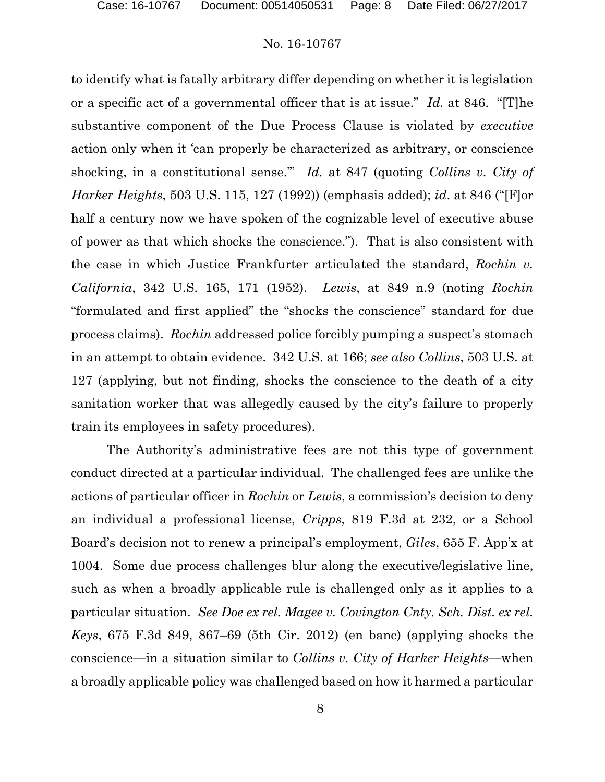to identify what is fatally arbitrary differ depending on whether it is legislation or a specific act of a governmental officer that is at issue." *Id.* at 846. "[T]he substantive component of the Due Process Clause is violated by *executive* action only when it 'can properly be characterized as arbitrary, or conscience shocking, in a constitutional sense.'" *Id.* at 847 (quoting *Collins v. City of Harker Heights*, 503 U.S. 115, 127 (1992)) (emphasis added); *id*. at 846 ("[F]or half a century now we have spoken of the cognizable level of executive abuse of power as that which shocks the conscience."). That is also consistent with the case in which Justice Frankfurter articulated the standard, *Rochin v. California*, 342 U.S. 165, 171 (1952). *Lewis*, at 849 n.9 (noting *Rochin* "formulated and first applied" the "shocks the conscience" standard for due process claims). *Rochin* addressed police forcibly pumping a suspect's stomach in an attempt to obtain evidence. 342 U.S. at 166; *see also Collins*, 503 U.S. at 127 (applying, but not finding, shocks the conscience to the death of a city sanitation worker that was allegedly caused by the city's failure to properly train its employees in safety procedures).

The Authority's administrative fees are not this type of government conduct directed at a particular individual. The challenged fees are unlike the actions of particular officer in *Rochin* or *Lewis*, a commission's decision to deny an individual a professional license, *Cripps*, 819 F.3d at 232, or a School Board's decision not to renew a principal's employment, *Giles*, 655 F. App'x at 1004. Some due process challenges blur along the executive/legislative line, such as when a broadly applicable rule is challenged only as it applies to a particular situation. *See Doe ex rel. Magee v. Covington Cnty. Sch. Dist. ex rel. Keys*, 675 F.3d 849, 867–69 (5th Cir. 2012) (en banc) (applying shocks the conscience—in a situation similar to *Collins v. City of Harker Heights*—when a broadly applicable policy was challenged based on how it harmed a particular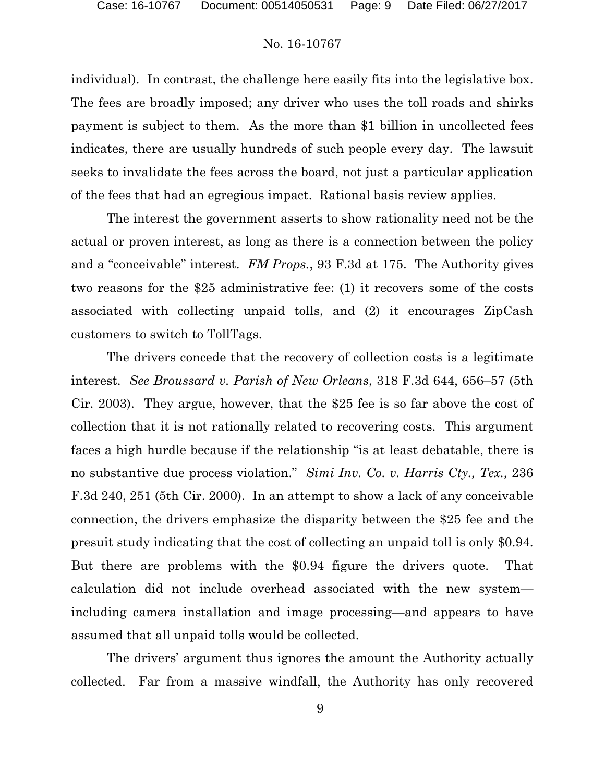individual). In contrast, the challenge here easily fits into the legislative box. The fees are broadly imposed; any driver who uses the toll roads and shirks payment is subject to them. As the more than \$1 billion in uncollected fees indicates, there are usually hundreds of such people every day. The lawsuit seeks to invalidate the fees across the board, not just a particular application of the fees that had an egregious impact. Rational basis review applies.

The interest the government asserts to show rationality need not be the actual or proven interest, as long as there is a connection between the policy and a "conceivable" interest. *FM Props.*, 93 F.3d at 175. The Authority gives two reasons for the \$25 administrative fee: (1) it recovers some of the costs associated with collecting unpaid tolls, and (2) it encourages ZipCash customers to switch to TollTags.

The drivers concede that the recovery of collection costs is a legitimate interest. *See Broussard v. Parish of New Orleans*, 318 F.3d 644, 656–57 (5th Cir. 2003). They argue, however, that the \$25 fee is so far above the cost of collection that it is not rationally related to recovering costs. This argument faces a high hurdle because if the relationship "is at least debatable, there is no substantive due process violation." *Simi Inv. Co. v. Harris Cty., Tex.,* 236 F.3d 240, 251 (5th Cir. 2000). In an attempt to show a lack of any conceivable connection, the drivers emphasize the disparity between the \$25 fee and the presuit study indicating that the cost of collecting an unpaid toll is only \$0.94. But there are problems with the \$0.94 figure the drivers quote. That calculation did not include overhead associated with the new system including camera installation and image processing—and appears to have assumed that all unpaid tolls would be collected.

The drivers' argument thus ignores the amount the Authority actually collected. Far from a massive windfall, the Authority has only recovered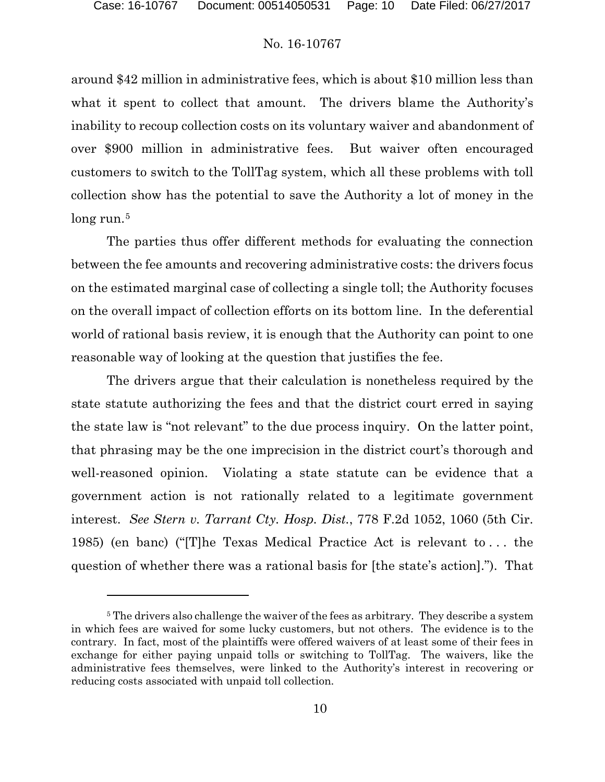# No. 16-10767

around \$42 million in administrative fees, which is about \$10 million less than what it spent to collect that amount. The drivers blame the Authority's inability to recoup collection costs on its voluntary waiver and abandonment of over \$900 million in administrative fees. But waiver often encouraged customers to switch to the TollTag system, which all these problems with toll collection show has the potential to save the Authority a lot of money in the long run.<sup>5</sup>

The parties thus offer different methods for evaluating the connection between the fee amounts and recovering administrative costs: the drivers focus on the estimated marginal case of collecting a single toll; the Authority focuses on the overall impact of collection efforts on its bottom line. In the deferential world of rational basis review, it is enough that the Authority can point to one reasonable way of looking at the question that justifies the fee.

The drivers argue that their calculation is nonetheless required by the state statute authorizing the fees and that the district court erred in saying the state law is "not relevant" to the due process inquiry. On the latter point, that phrasing may be the one imprecision in the district court's thorough and well-reasoned opinion. Violating a state statute can be evidence that a government action is not rationally related to a legitimate government interest. *See Stern v. Tarrant Cty. Hosp. Dist.*, 778 F.2d 1052, 1060 (5th Cir. 1985) (en banc) ("[T]he Texas Medical Practice Act is relevant to . . . the question of whether there was a rational basis for [the state's action]."). That

<sup>&</sup>lt;sup>5</sup> The drivers also challenge the waiver of the fees as arbitrary. They describe a system in which fees are waived for some lucky customers, but not others. The evidence is to the contrary. In fact, most of the plaintiffs were offered waivers of at least some of their fees in exchange for either paying unpaid tolls or switching to TollTag. The waivers, like the administrative fees themselves, were linked to the Authority's interest in recovering or reducing costs associated with unpaid toll collection.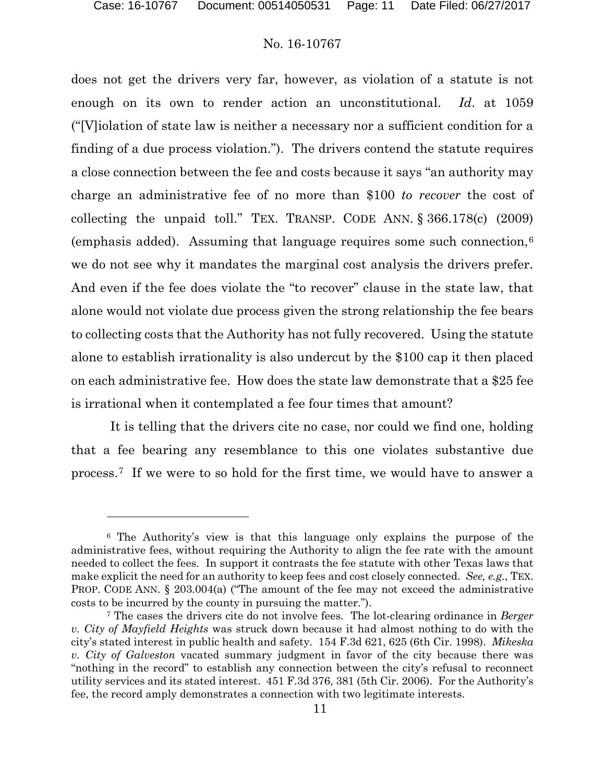# No. 16-10767

does not get the drivers very far, however, as violation of a statute is not enough on its own to render action an unconstitutional. *Id*. at 1059 ("[V]iolation of state law is neither a necessary nor a sufficient condition for a finding of a due process violation."). The drivers contend the statute requires a close connection between the fee and costs because it says "an authority may charge an administrative fee of no more than \$100 *to recover* the cost of collecting the unpaid toll." TEX. TRANSP. CODE ANN. § 366.178(c) (2009) (emphasis added). Assuming that language requires some such connection,6 we do not see why it mandates the marginal cost analysis the drivers prefer. And even if the fee does violate the "to recover" clause in the state law, that alone would not violate due process given the strong relationship the fee bears to collecting costs that the Authority has not fully recovered. Using the statute alone to establish irrationality is also undercut by the \$100 cap it then placed on each administrative fee. How does the state law demonstrate that a \$25 fee is irrational when it contemplated a fee four times that amount?

It is telling that the drivers cite no case, nor could we find one, holding that a fee bearing any resemblance to this one violates substantive due process.7 If we were to so hold for the first time, we would have to answer a

<sup>6</sup> The Authority's view is that this language only explains the purpose of the administrative fees, without requiring the Authority to align the fee rate with the amount needed to collect the fees. In support it contrasts the fee statute with other Texas laws that make explicit the need for an authority to keep fees and cost closely connected. *See, e.g.*, TEX. PROP. CODE ANN. § 203.004(a) ("The amount of the fee may not exceed the administrative costs to be incurred by the county in pursuing the matter.").

<sup>7</sup> The cases the drivers cite do not involve fees. The lot-clearing ordinance in *Berger v. City of Mayfield Heights* was struck down because it had almost nothing to do with the city's stated interest in public health and safety. 154 F.3d 621, 625 (6th Cir. 1998). *Mikeska v. City of Galveston* vacated summary judgment in favor of the city because there was "nothing in the record" to establish any connection between the city's refusal to reconnect utility services and its stated interest. 451 F.3d 376, 381 (5th Cir. 2006). For the Authority's fee, the record amply demonstrates a connection with two legitimate interests.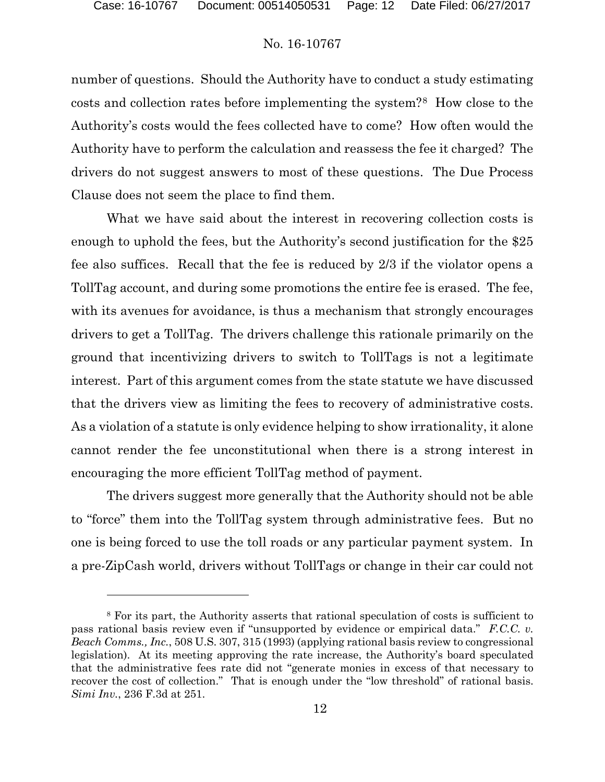l

# No. 16-10767

number of questions. Should the Authority have to conduct a study estimating costs and collection rates before implementing the system?8 How close to the Authority's costs would the fees collected have to come? How often would the Authority have to perform the calculation and reassess the fee it charged? The drivers do not suggest answers to most of these questions. The Due Process Clause does not seem the place to find them.

What we have said about the interest in recovering collection costs is enough to uphold the fees, but the Authority's second justification for the \$25 fee also suffices. Recall that the fee is reduced by 2/3 if the violator opens a TollTag account, and during some promotions the entire fee is erased. The fee, with its avenues for avoidance, is thus a mechanism that strongly encourages drivers to get a TollTag. The drivers challenge this rationale primarily on the ground that incentivizing drivers to switch to TollTags is not a legitimate interest. Part of this argument comes from the state statute we have discussed that the drivers view as limiting the fees to recovery of administrative costs. As a violation of a statute is only evidence helping to show irrationality, it alone cannot render the fee unconstitutional when there is a strong interest in encouraging the more efficient TollTag method of payment.

The drivers suggest more generally that the Authority should not be able to "force" them into the TollTag system through administrative fees. But no one is being forced to use the toll roads or any particular payment system. In a pre-ZipCash world, drivers without TollTags or change in their car could not

<sup>8</sup> For its part, the Authority asserts that rational speculation of costs is sufficient to pass rational basis review even if "unsupported by evidence or empirical data." *F.C.C. v. Beach Comms., Inc.*, 508 U.S. 307, 315 (1993) (applying rational basis review to congressional legislation). At its meeting approving the rate increase, the Authority's board speculated that the administrative fees rate did not "generate monies in excess of that necessary to recover the cost of collection." That is enough under the "low threshold" of rational basis. *Simi Inv.*, 236 F.3d at 251.